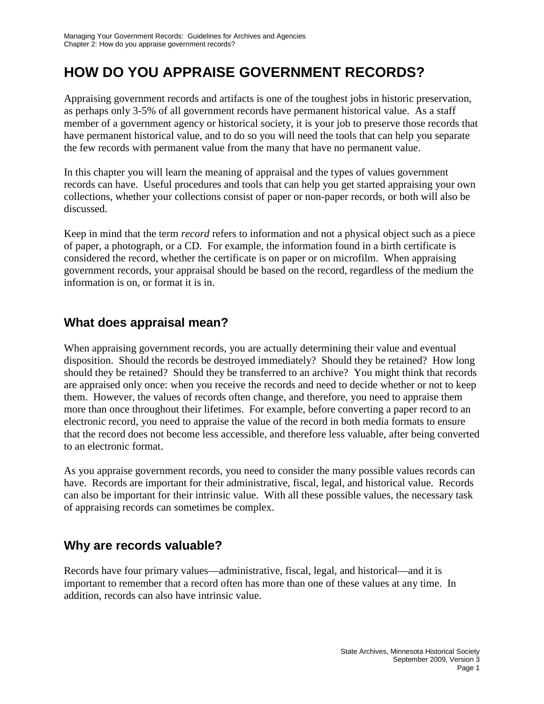# **HOW DO YOU APPRAISE GOVERNMENT RECORDS?**

Appraising government records and artifacts is one of the toughest jobs in historic preservation, as perhaps only 3-5% of all government records have permanent historical value. As a staff member of a government agency or historical society, it is your job to preserve those records that have permanent historical value, and to do so you will need the tools that can help you separate the few records with permanent value from the many that have no permanent value.

In this chapter you will learn the meaning of appraisal and the types of values government records can have. Useful procedures and tools that can help you get started appraising your own collections, whether your collections consist of paper or non-paper records, or both will also be discussed.

Keep in mind that the term *record* refers to information and not a physical object such as a piece of paper, a photograph, or a CD. For example, the information found in a birth certificate is considered the record, whether the certificate is on paper or on microfilm. When appraising government records, your appraisal should be based on the record, regardless of the medium the information is on, or format it is in.

## **What does appraisal mean?**

When appraising government records, you are actually determining their value and eventual disposition. Should the records be destroyed immediately? Should they be retained? How long should they be retained? Should they be transferred to an archive? You might think that records are appraised only once: when you receive the records and need to decide whether or not to keep them. However, the values of records often change, and therefore, you need to appraise them more than once throughout their lifetimes. For example, before converting a paper record to an electronic record, you need to appraise the value of the record in both media formats to ensure that the record does not become less accessible, and therefore less valuable, after being converted to an electronic format.

As you appraise government records, you need to consider the many possible values records can have. Records are important for their administrative, fiscal, legal, and historical value. Records can also be important for their intrinsic value. With all these possible values, the necessary task of appraising records can sometimes be complex.

## **Why are records valuable?**

Records have four primary values—administrative, fiscal, legal, and historical—and it is important to remember that a record often has more than one of these values at any time. In addition, records can also have intrinsic value.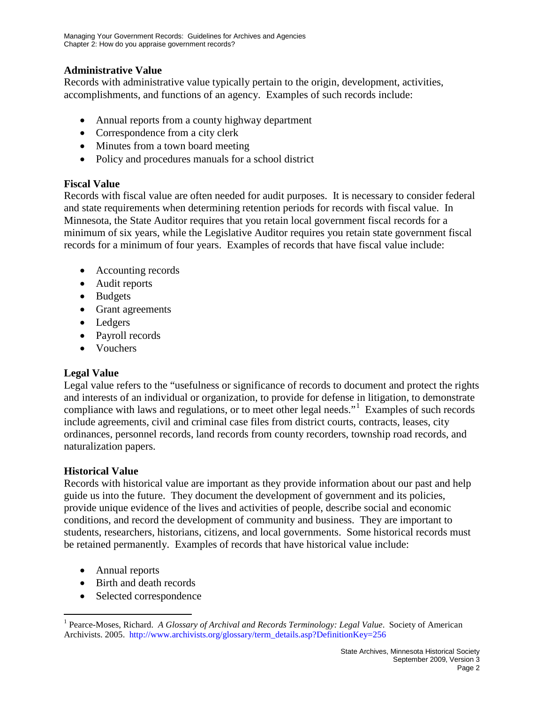### **Administrative Value**

Records with administrative value typically pertain to the origin, development, activities, accomplishments, and functions of an agency. Examples of such records include:

- Annual reports from a county highway department
- Correspondence from a city clerk
- Minutes from a town board meeting
- Policy and procedures manuals for a school district

## **Fiscal Value**

Records with fiscal value are often needed for audit purposes. It is necessary to consider federal and state requirements when determining retention periods for records with fiscal value. In Minnesota, the State Auditor requires that you retain local government fiscal records for a minimum of six years, while the Legislative Auditor requires you retain state government fiscal records for a minimum of four years. Examples of records that have fiscal value include:

- Accounting records
- Audit reports
- Budgets
- Grant agreements
- Ledgers
- Payroll records
- Vouchers

## **Legal Value**

Legal value refers to the "usefulness or significance of records to document and protect the rights and interests of an individual or organization, to provide for defense in litigation, to demonstrate compliance with laws and regulations, or to meet other legal needs."<sup>[1](#page-1-0)</sup> Examples of such records include agreements, civil and criminal case files from district courts, contracts, leases, city ordinances, personnel records, land records from county recorders, township road records, and naturalization papers.

### **Historical Value**

Records with historical value are important as they provide information about our past and help guide us into the future. They document the development of government and its policies, provide unique evidence of the lives and activities of people, describe social and economic conditions, and record the development of community and business. They are important to students, researchers, historians, citizens, and local governments. Some historical records must be retained permanently. Examples of records that have historical value include:

- Annual reports
- Birth and death records
- Selected correspondence

<span id="page-1-0"></span><sup>&</sup>lt;sup>1</sup> Pearce-Moses, Richard. *A Glossary of Archival and Records Terminology: Legal Value*. Society of American Archivists. 2005. [http://www.archivists.org/glossary/term\\_details.asp?DefinitionKey=256](http://www.archivists.org/glossary/term_details.asp?DefinitionKey=256)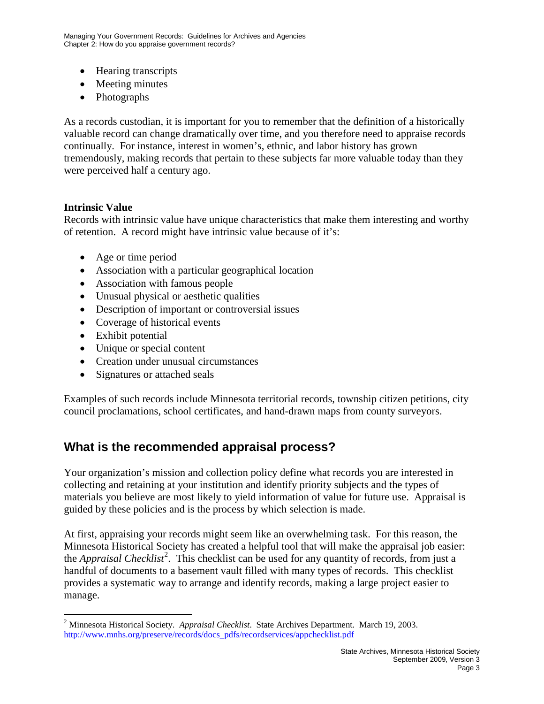- Hearing transcripts
- Meeting minutes
- Photographs

As a records custodian, it is important for you to remember that the definition of a historically valuable record can change dramatically over time, and you therefore need to appraise records continually. For instance, interest in women's, ethnic, and labor history has grown tremendously, making records that pertain to these subjects far more valuable today than they were perceived half a century ago.

### **Intrinsic Value**

Records with intrinsic value have unique characteristics that make them interesting and worthy of retention. A record might have intrinsic value because of it's:

- Age or time period
- Association with a particular geographical location
- Association with famous people
- Unusual physical or aesthetic qualities
- Description of important or controversial issues
- Coverage of historical events
- Exhibit potential
- Unique or special content
- Creation under unusual circumstances
- Signatures or attached seals

Examples of such records include Minnesota territorial records, township citizen petitions, city council proclamations, school certificates, and hand-drawn maps from county surveyors.

## **What is the recommended appraisal process?**

Your organization's mission and collection policy define what records you are interested in collecting and retaining at your institution and identify priority subjects and the types of materials you believe are most likely to yield information of value for future use. Appraisal is guided by these policies and is the process by which selection is made.

At first, appraising your records might seem like an overwhelming task. For this reason, the Minnesota Historical Society has created a helpful tool that will make the appraisal job easier: the *Appraisal Checklist<sup>[2](#page-2-0)</sup>*. This checklist can be used for any quantity of records, from just a handful of documents to a basement vault filled with many types of records. This checklist provides a systematic way to arrange and identify records, making a large project easier to manage.

<span id="page-2-0"></span> <sup>2</sup> Minnesota Historical Society. *Appraisal Checklist*. State Archives Department. March 19, 2003. [http://www.mnhs.org/preserve/records/docs\\_pdfs/recordservices/appchecklist.pdf](http://www.mnhs.org/preserve/records/docs_pdfs/recordservices/appchecklist.pdf)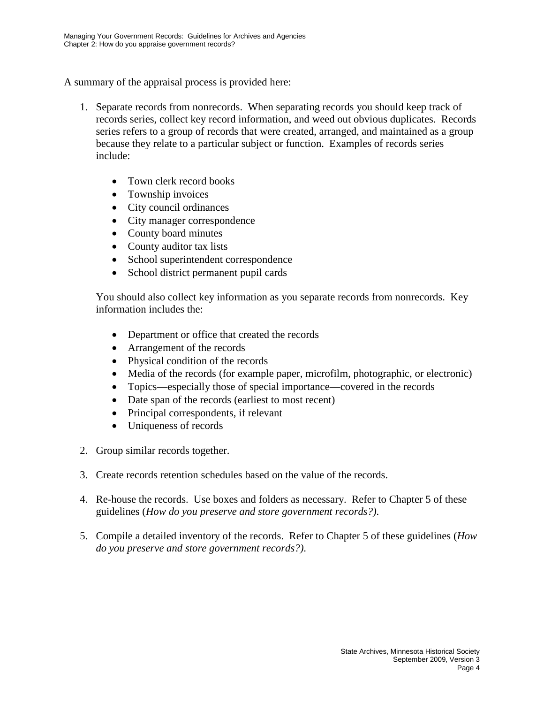A summary of the appraisal process is provided here:

- 1. Separate records from nonrecords. When separating records you should keep track of records series, collect key record information, and weed out obvious duplicates. Records series refers to a group of records that were created, arranged, and maintained as a group because they relate to a particular subject or function. Examples of records series include:
	- Town clerk record books
	- Township invoices
	- City council ordinances
	- City manager correspondence
	- County board minutes
	- County auditor tax lists
	- School superintendent correspondence
	- School district permanent pupil cards

You should also collect key information as you separate records from nonrecords. Key information includes the:

- Department or office that created the records
- Arrangement of the records
- Physical condition of the records
- Media of the records (for example paper, microfilm, photographic, or electronic)
- Topics—especially those of special importance—covered in the records
- Date span of the records (earliest to most recent)
- Principal correspondents, if relevant
- Uniqueness of records
- 2. Group similar records together.
- 3. Create records retention schedules based on the value of the records.
- 4. Re-house the records. Use boxes and folders as necessary. Refer to Chapter 5 of these guidelines (*How do you preserve and store government records?)*.
- 5. Compile a detailed inventory of the records. Refer to Chapter 5 of these guidelines (*How do you preserve and store government records?)*.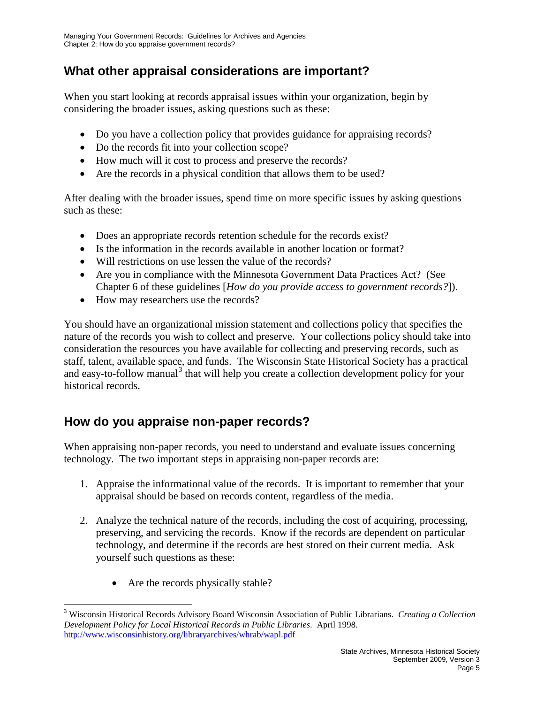## **What other appraisal considerations are important?**

When you start looking at records appraisal issues within your organization, begin by considering the broader issues, asking questions such as these:

- Do you have a collection policy that provides guidance for appraising records?
- Do the records fit into your collection scope?
- How much will it cost to process and preserve the records?
- Are the records in a physical condition that allows them to be used?

After dealing with the broader issues, spend time on more specific issues by asking questions such as these:

- Does an appropriate records retention schedule for the records exist?
- Is the information in the records available in another location or format?
- Will restrictions on use lessen the value of the records?
- Are you in compliance with the Minnesota Government Data Practices Act? (See Chapter 6 of these guidelines [*How do you provide access to government records?*]).
- How may researchers use the records?

You should have an organizational mission statement and collections policy that specifies the nature of the records you wish to collect and preserve. Your collections policy should take into consideration the resources you have available for collecting and preserving records, such as staff, talent, available space, and funds. The Wisconsin State Historical Society has a practical and easy-to-follow manual<sup>[3](#page-4-0)</sup> that will help you create a collection development policy for your historical records.

## **How do you appraise non-paper records?**

When appraising non-paper records, you need to understand and evaluate issues concerning technology. The two important steps in appraising non-paper records are:

- 1. Appraise the informational value of the records. It is important to remember that your appraisal should be based on records content, regardless of the media.
- 2. Analyze the technical nature of the records, including the cost of acquiring, processing, preserving, and servicing the records. Know if the records are dependent on particular technology, and determine if the records are best stored on their current media. Ask yourself such questions as these:
	- Are the records physically stable?

<span id="page-4-0"></span> <sup>3</sup> Wisconsin Historical Records Advisory Board Wisconsin Association of Public Librarians. *Creating a Collection Development Policy for Local Historical Records in Public Libraries*. April 1998. <http://www.wisconsinhistory.org/libraryarchives/whrab/wapl.pdf>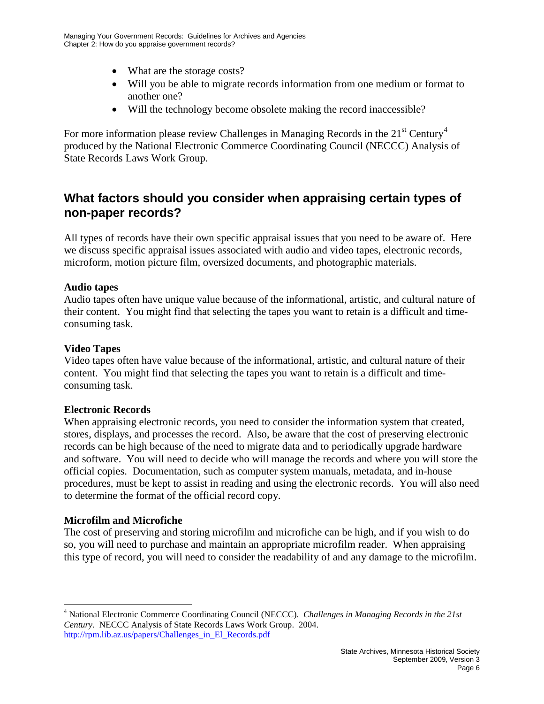- What are the storage costs?
- Will you be able to migrate records information from one medium or format to another one?
- Will the technology become obsolete making the record inaccessible?

For more information please review Challenges in Managing Records in the  $21<sup>st</sup>$  Century<sup>[4](#page-5-0)</sup> produced by the National Electronic Commerce Coordinating Council (NECCC) Analysis of State Records Laws Work Group.

## **What factors should you consider when appraising certain types of non-paper records?**

All types of records have their own specific appraisal issues that you need to be aware of. Here we discuss specific appraisal issues associated with audio and video tapes, electronic records, microform, motion picture film, oversized documents, and photographic materials.

### **Audio tapes**

Audio tapes often have unique value because of the informational, artistic, and cultural nature of their content. You might find that selecting the tapes you want to retain is a difficult and timeconsuming task.

#### **Video Tapes**

Video tapes often have value because of the informational, artistic, and cultural nature of their content. You might find that selecting the tapes you want to retain is a difficult and timeconsuming task.

#### **Electronic Records**

When appraising electronic records, you need to consider the information system that created, stores, displays, and processes the record. Also, be aware that the cost of preserving electronic records can be high because of the need to migrate data and to periodically upgrade hardware and software. You will need to decide who will manage the records and where you will store the official copies. Documentation, such as computer system manuals, metadata, and in-house procedures, must be kept to assist in reading and using the electronic records. You will also need to determine the format of the official record copy.

#### **Microfilm and Microfiche**

The cost of preserving and storing microfilm and microfiche can be high, and if you wish to do so, you will need to purchase and maintain an appropriate microfilm reader. When appraising this type of record, you will need to consider the readability of and any damage to the microfilm.

<span id="page-5-0"></span> <sup>4</sup> National Electronic Commerce Coordinating Council (NECCC). *Challenges in Managing Records in the 21st Century*. NECCC Analysis of State Records Laws Work Group. 2004. [http://rpm.lib.az.us/papers/Challenges\\_in\\_El\\_Records.pdf](http://rpm.lib.az.us/papers/Challenges_in_El_Records.pdf)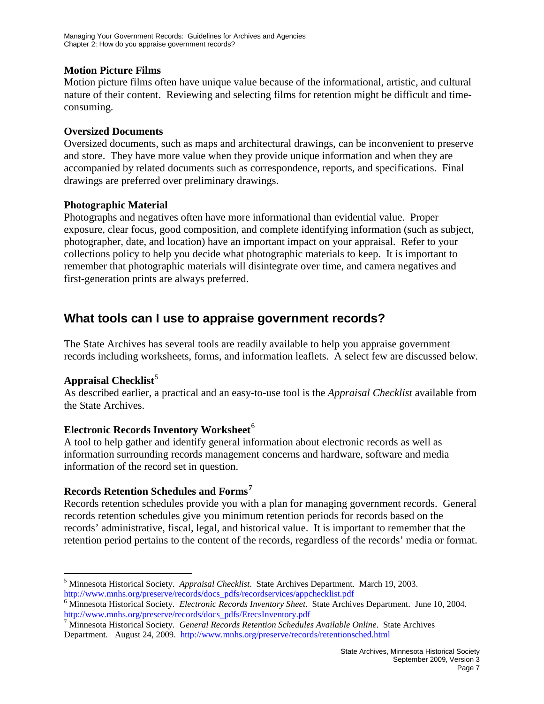#### **Motion Picture Films**

Motion picture films often have unique value because of the informational, artistic, and cultural nature of their content. Reviewing and selecting films for retention might be difficult and timeconsuming.

#### **Oversized Documents**

Oversized documents, such as maps and architectural drawings, can be inconvenient to preserve and store. They have more value when they provide unique information and when they are accompanied by related documents such as correspondence, reports, and specifications. Final drawings are preferred over preliminary drawings.

#### **Photographic Material**

Photographs and negatives often have more informational than evidential value. Proper exposure, clear focus, good composition, and complete identifying information (such as subject, photographer, date, and location) have an important impact on your appraisal. Refer to your collections policy to help you decide what photographic materials to keep. It is important to remember that photographic materials will disintegrate over time, and camera negatives and first-generation prints are always preferred.

## **What tools can I use to appraise government records?**

The State Archives has several tools are readily available to help you appraise government records including worksheets, forms, and information leaflets. A select few are discussed below.

### Appraisal Checklist<sup>[5](#page-6-0)</sup>

As described earlier, a practical and an easy-to-use tool is the *Appraisal Checklist* available from the State Archives.

### **Electronic Records Inventory Worksheet**<sup>[6](#page-6-1)</sup>

A tool to help gather and identify general information about electronic records as well as information surrounding records management concerns and hardware, software and media information of the record set in question.

### **Records Retention Schedules and Forms[7](#page-6-2)**

Records retention schedules provide you with a plan for managing government records. General records retention schedules give you minimum retention periods for records based on the records' administrative, fiscal, legal, and historical value. It is important to remember that the retention period pertains to the content of the records, regardless of the records' media or format.

<span id="page-6-0"></span> <sup>5</sup> Minnesota Historical Society. *Appraisal Checklist*. State Archives Department. March 19, 2003. [http://www.mnhs.org/preserve/records/docs\\_pdfs/recordservices/appchecklist.pdf](http://www.mnhs.org/preserve/records/docs_pdfs/recordservices/appchecklist.pdf)

<span id="page-6-1"></span><sup>6</sup> Minnesota Historical Society. *Electronic Records Inventory Sheet*. State Archives Department. June 10, 2004. [http://www.mnhs.org/preserve/records/docs\\_pdfs/ErecsInventory.pdf](http://www.mnhs.org/preserve/records/docs_pdfs/ErecsInventory.pdf)

<span id="page-6-2"></span><sup>7</sup> Minnesota Historical Society. *General Records Retention Schedules Available Online*. State Archives Department. August 24, 2009. <http://www.mnhs.org/preserve/records/retentionsched.html>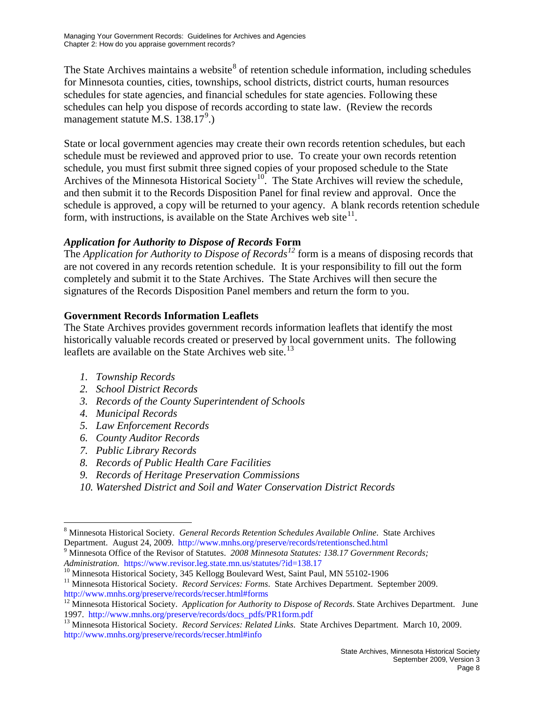The State Archives maintains a website<sup>[8](#page-7-0)</sup> of retention schedule information, including schedules for Minnesota counties, cities, townships, school districts, district courts, human resources schedules for state agencies, and financial schedules for state agencies. Following these schedules can help you dispose of records according to state law. (Review the records management statute M.S. 138.17<sup>[9](#page-7-1)</sup>.)

State or local government agencies may create their own records retention schedules, but each schedule must be reviewed and approved prior to use. To create your own records retention schedule, you must first submit three signed copies of your proposed schedule to the State Archives of the Minnesota Historical Society<sup>10</sup>. The State Archives will review the schedule, and then submit it to the Records Disposition Panel for final review and approval. Once the schedule is approved, a copy will be returned to your agency. A blank records retention schedule form, with instructions, is available on the State Archives web site $11$ .

## *Application for Authority to Dispose of Records* **Form**

The *Application for Authority to Dispose of Records*<sup>[12](#page-7-4)</sup> form is a means of disposing records that are not covered in any records retention schedule. It is your responsibility to fill out the form completely and submit it to the State Archives. The State Archives will then secure the signatures of the Records Disposition Panel members and return the form to you.

## **Government Records Information Leaflets**

The State Archives provides government records information leaflets that identify the most historically valuable records created or preserved by local government units. The following leaflets are available on the State Archives web site.<sup>[13](#page-7-5)</sup>

- *1. Township Records*
- *2. School District Records*
- *3. Records of the County Superintendent of Schools*
- *4. Municipal Records*
- *5. Law Enforcement Records*
- *6. County Auditor Records*
- *7. Public Library Records*
- *8. Records of Public Health Care Facilities*
- *9. Records of Heritage Preservation Commissions*
- *10. Watershed District and Soil and Water Conservation District Records*

<span id="page-7-0"></span> <sup>8</sup> Minnesota Historical Society. *General Records Retention Schedules Available Online*. State Archives

<span id="page-7-1"></span>Department. August 24, 2009.<http://www.mnhs.org/preserve/records/retentionsched.html><br><sup>9</sup> Minnesota Office of the Revisor of Statutes. *2008 Minnesota Statutes: 138.17 Government Records; <br><i>Administration.* https://www.rev

<span id="page-7-2"></span><sup>&</sup>lt;sup>10</sup> Minnesota Historical Society, 345 Kellogg Boulevard West, Saint Paul, MN 55102-1906<br><sup>11</sup> Minnesota Historical Society. *Record Services: Forms*. State Archives Department. September 2009.

<span id="page-7-3"></span><http://www.mnhs.org/preserve/records/recser.html#forms>

<span id="page-7-4"></span><sup>&</sup>lt;sup>12</sup> Minnesota Historical Society. *Application for Authority to Dispose of Records*. State Archives Department. June 1997. http://www.mnhs.org/preserve/records/docs pdfs/PR1form.pdf

<span id="page-7-5"></span><sup>&</sup>lt;sup>13</sup> Minnesota Historical Society. *Record Services: Related Links*. State Archives Department. March 10, 2009. <http://www.mnhs.org/preserve/records/recser.html#info>